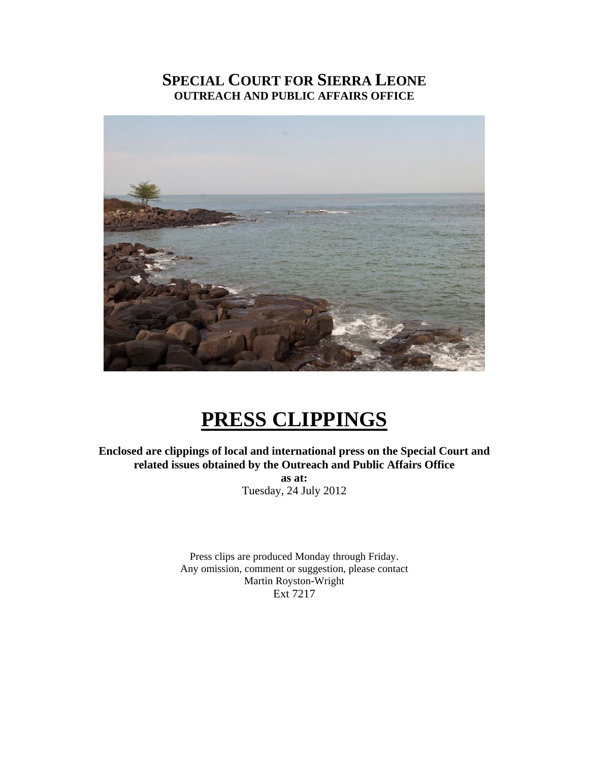## **SPECIAL COURT FOR SIERRA LEONE OUTREACH AND PUBLIC AFFAIRS OFFICE**



# **PRESS CLIPPINGS**

**Enclosed are clippings of local and international press on the Special Court and related issues obtained by the Outreach and Public Affairs Office as at:**  Tuesday, 24 July 2012

> Press clips are produced Monday through Friday. Any omission, comment or suggestion, please contact Martin Royston-Wright Ext 7217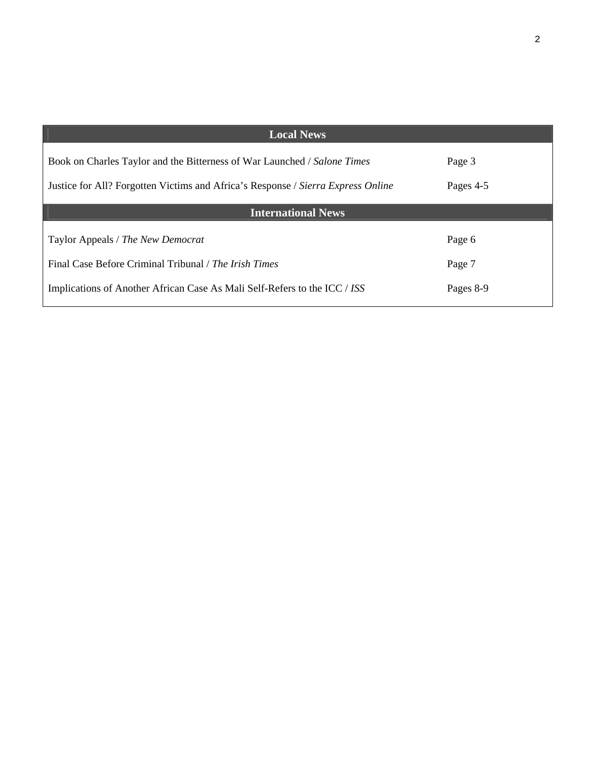| <b>Local News</b>                                                                |           |
|----------------------------------------------------------------------------------|-----------|
| Book on Charles Taylor and the Bitterness of War Launched / Salone Times         | Page 3    |
| Justice for All? Forgotten Victims and Africa's Response / Sierra Express Online | Pages 4-5 |
| <b>International News</b>                                                        |           |
| Taylor Appeals / The New Democrat                                                | Page 6    |
| Final Case Before Criminal Tribunal / The Irish Times                            | Page 7    |
| Implications of Another African Case As Mali Self-Refers to the ICC / ISS        | Pages 8-9 |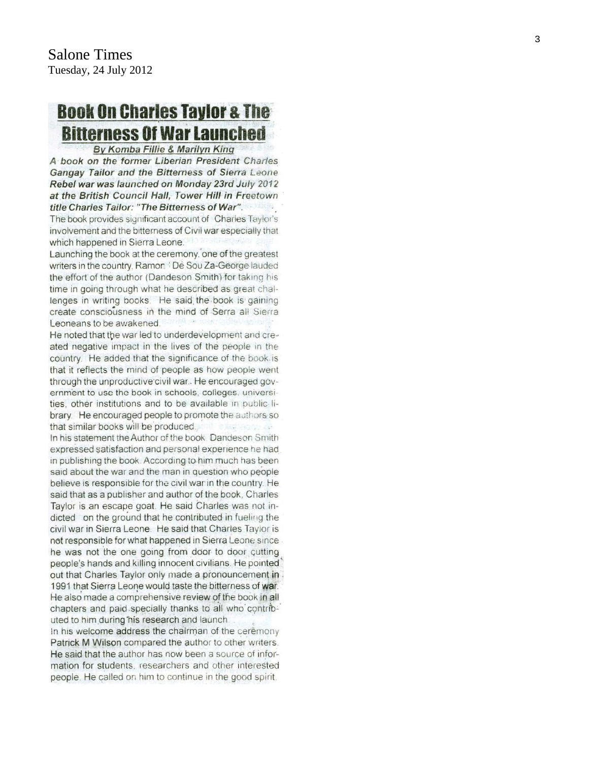# **Book On Charles Taylor & The Bitterness Of War Launched**

By Komba Fillie & Marilyn King

A book on the former Liberian President Charles Gangay Tailor and the Bitterness of Sierra Leone Rebel war was launched on Monday 23rd July 2012 at the British Council Hall, Tower Hill in Freetown title Charles Tailor: "The Bitterness of War".

The book provides significant account of Charles Taylor's involvement and the bitterness of Civil war especially that which happened in Sierra Leone.

Launching the book at the ceremony, one of the greatest writers in the country, Ramon. De Sou Za-George lauded the effort of the author (Dandeson Smith) for taking his time in going through what he described as great challenges in writing books. He said the book is gaining create consciousness in the mind of Serra all Sierra Leoneans to be awakened.

He noted that the war led to underdevelopment and created negative impact in the lives of the people in the country. He added that the significance of the book is that it reflects the mind of people as how people went through the unproductive civil war. He encouraged government to use the book in schools, colleges, universities, other institutions and to be available in public library. He encouraged people to promote the authors so that similar books will be produced. New Lacedon In his statement the Author of the book. Dandeson Smith expressed satisfaction and personal experience he had in publishing the book. According to him much has been said about the war and the man in question who people believe is responsible for the civil war in the country. He said that as a publisher and author of the book, Charles Taylor is an escape goat. He said Charles was not indicted on the ground that he contributed in fueling the civil war in Sierra Leone. He said that Charles Taylor is not responsible for what happened in Sierra Leone since he was not the one going from door to door cutting people's hands and killing innocent civilians. He pointed' out that Charles Taylor only made a pronouncement in 1991 that Sierra Leone would taste the bitterness of war. He also made a comprehensive review of the book in all chapters and paid specially thanks to all who contributed to him during his research and launch

In his welcome address the chairman of the ceremony Patrick M Wilson compared the author to other writers. He said that the author has now been a source of information for students, researchers and other interested people. He called on him to continue in the good spirit.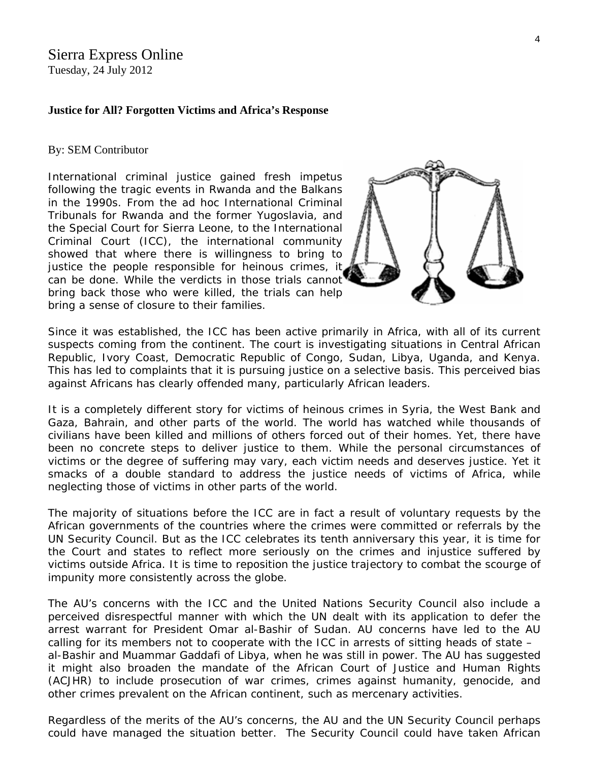# Sierra Express Online

Tuesday, 24 July 2012

### **Justice for All? Forgotten Victims and Africa's Response**

### By: SEM Contributor

International criminal justice gained fresh impetus following the tragic events in Rwanda and the Balkans in the 1990s. From the ad hoc International Criminal Tribunals for Rwanda and the former Yugoslavia, and the Special Court for Sierra Leone, to the International Criminal Court (ICC), the international community showed that where there is willingness to bring to justice the people responsible for heinous crimes, it can be done. While the verdicts in those trials cannot bring back those who were killed, the trials can hel[p](http://www.sierraexpressmedia.com/archives/44957)  bring a sense of closure to their families.



Since it was established, the ICC has been active primarily in Africa, with all of its current suspects coming from the continent. The court is investigating situations in Central African Republic, Ivory Coast, Democratic Republic of Congo, Sudan, Libya, Uganda, and Kenya. This has led to complaints that it is pursuing justice on a selective basis. This perceived bias against Africans has clearly offended many, particularly African leaders.

It is a completely different story for victims of heinous crimes in Syria, the West Bank and Gaza, Bahrain, and other parts of the world. The world has watched while thousands of civilians have been killed and millions of others forced out of their homes. Yet, there have been no concrete steps to deliver justice to them. While the personal circumstances of victims or the degree of suffering may vary, each victim needs and deserves justice. Yet it smacks of a double standard to address the justice needs of victims of Africa, while neglecting those of victims in other parts of the world.

The majority of situations before the ICC are in fact a result of voluntary requests by the African governments of the countries where the crimes were committed or referrals by the UN Security Council. But as the ICC celebrates its tenth anniversary this year, it is time for the Court and states to reflect more seriously on the crimes and injustice suffered by victims outside Africa. It is time to reposition the justice trajectory to combat the scourge of impunity more consistently across the globe.

The AU's concerns with the ICC and the United Nations Security Council also include a perceived disrespectful manner with which the UN dealt with its application to defer the arrest warrant for President Omar al-Bashir of Sudan. AU concerns have led to the AU calling for its members not to cooperate with the ICC in arrests of sitting heads of state – al-Bashir and Muammar Gaddafi of Libya, when he was still in power. The AU has suggested it might also broaden the mandate of the African Court of Justice and Human Rights (ACJHR) to include prosecution of war crimes, crimes against humanity, genocide, and other crimes prevalent on the African continent, such as mercenary activities.

Regardless of the merits of the AU's concerns, the AU and the UN Security Council perhaps could have managed the situation better. The Security Council could have taken African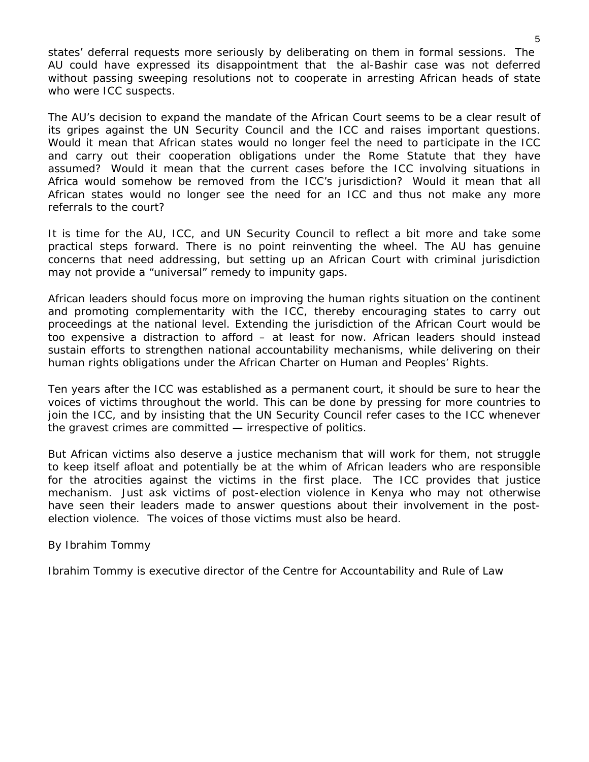states' deferral requests more seriously by deliberating on them in formal sessions. The AU could have expressed its disappointment that the al-Bashir case was not deferred without passing sweeping resolutions not to cooperate in arresting African heads of state who were ICC suspects.

The AU's decision to expand the mandate of the African Court seems to be a clear result of its gripes against the UN Security Council and the ICC and raises important questions. Would it mean that African states would no longer feel the need to participate in the ICC and carry out their cooperation obligations under the Rome Statute that they have assumed? Would it mean that the current cases before the ICC involving situations in Africa would somehow be removed from the ICC's jurisdiction? Would it mean that all African states would no longer see the need for an ICC and thus not make any more referrals to the court?

It is time for the AU, ICC, and UN Security Council to reflect a bit more and take some practical steps forward. There is no point reinventing the wheel. The AU has genuine concerns that need addressing, but setting up an African Court with criminal jurisdiction may not provide a "universal" remedy to impunity gaps.

African leaders should focus more on improving the human rights situation on the continent and promoting complementarity with the ICC, thereby encouraging states to carry out proceedings at the national level. Extending the jurisdiction of the African Court would be too expensive a distraction to afford – at least for now. African leaders should instead sustain efforts to strengthen national accountability mechanisms, while delivering on their human rights obligations under the African Charter on Human and Peoples' Rights.

Ten years after the ICC was established as a permanent court, it should be sure to hear the voices of victims throughout the world. This can be done by pressing for more countries to join the ICC, and by insisting that the UN Security Council refer cases to the ICC whenever the gravest crimes are committed — irrespective of politics.

But African victims also deserve a justice mechanism that will work for them, not struggle to keep itself afloat and potentially be at the whim of African leaders who are responsible for the atrocities against the victims in the first place. The ICC provides that justice mechanism. Just ask victims of post-election violence in Kenya who may not otherwise have seen their leaders made to answer questions about their involvement in the postelection violence. The voices of those victims must also be heard.

### *By Ibrahim Tommy*

*Ibrahim Tommy is executive director of the Centre for Accountability and Rule of Law*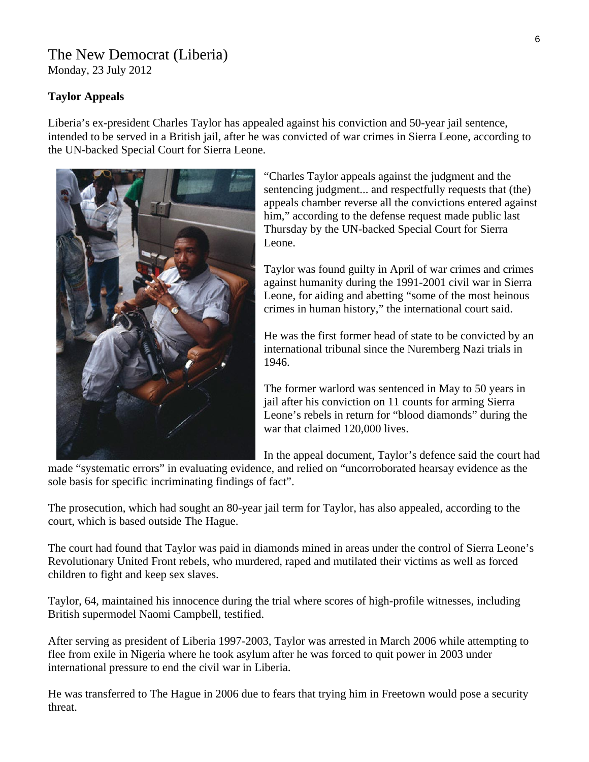## The New Democrat (Liberia)

Monday, 23 July 2012

### **Taylor Appeals**

Liberia's ex-president Charles Taylor has appealed against his conviction and 50-year jail sentence, intended to be served in a British jail, after he was convicted of war crimes in Sierra Leone, according to the UN-backed Special Court for Sierra Leone.



"Charles Taylor appeals against the judgment and the sentencing judgment... and respectfully requests that (the) appeals chamber reverse all the convictions entered against him," according to the defense request made public last Thursday by the UN-backed Special Court for Sierra Leone.

Taylor was found guilty in April of war crimes and crimes against humanity during the 1991-2001 civil war in Sierra Leone, for aiding and abetting "some of the most heinous crimes in human history," the international court said.

He was the first former head of state to be convicted by an international tribunal since the Nuremberg Nazi trials in 1946.

The former warlord was sentenced in May to 50 years in jail after his conviction on 11 counts for arming Sierra Leone's rebels in return for "blood diamonds" during the war that claimed 120,000 lives.

In the appeal document, Taylor's defence said the court h ad

made "systematic errors" in evaluating evidence, and relied on "uncorroborated hearsay evidence as the sole basis for specific incriminating findings of fact".

The prosecution, which had sought an 80-year jail term for Taylor, has also appealed, according to the court, which is based outside The Hague.

The court had found that Taylor was paid in diamonds mined in areas under the control of Sierra Leone's Revolutionary United Front rebels, who murdered, raped and mutilated their victims as well as forced children to fight and keep sex slaves.

Taylor, 64, maintained his innocence during the trial where scores of high-profile witnesses, including British supermodel Naomi Campbell, testified.

After serving as president of Liberia 1997-2003, Taylor was arrested in March 2006 while attempting to flee from exile in Nigeria where he took asylum after he was forced to quit power in 2003 under international pressure to end the civil war in Liberia.

He was transferred to The Hague in 2006 due to fears that trying him in Freetown would pose a security threat.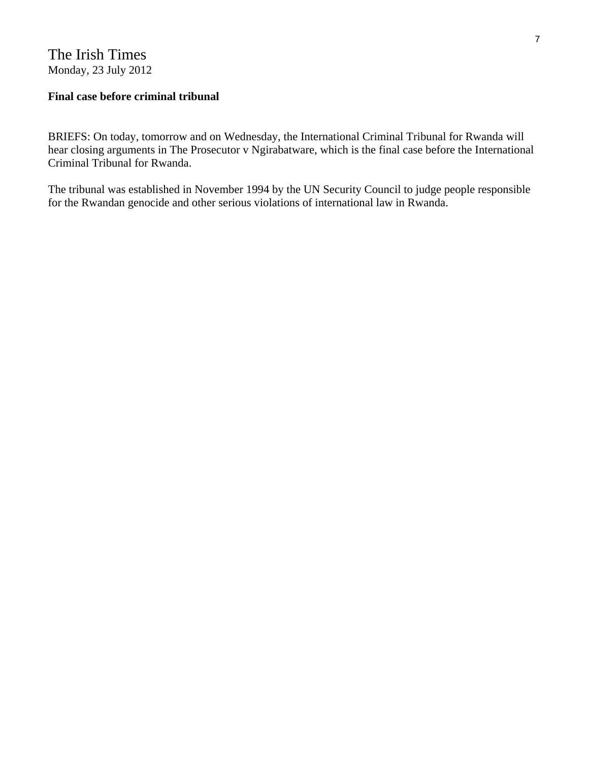## The Irish Times Monday, 23 July 2012

### **Final case before criminal tribunal**

BRIEFS: On today, tomorrow and on Wednesday, the International Criminal Tribunal for Rwanda will hear closing arguments in The Prosecutor v Ngirabatware, which is the final case before the International Criminal Tribunal for Rwanda.

The tribunal was established in November 1994 by the UN Security Council to judge people responsible for the Rwandan genocide and other serious violations of international law in Rwanda.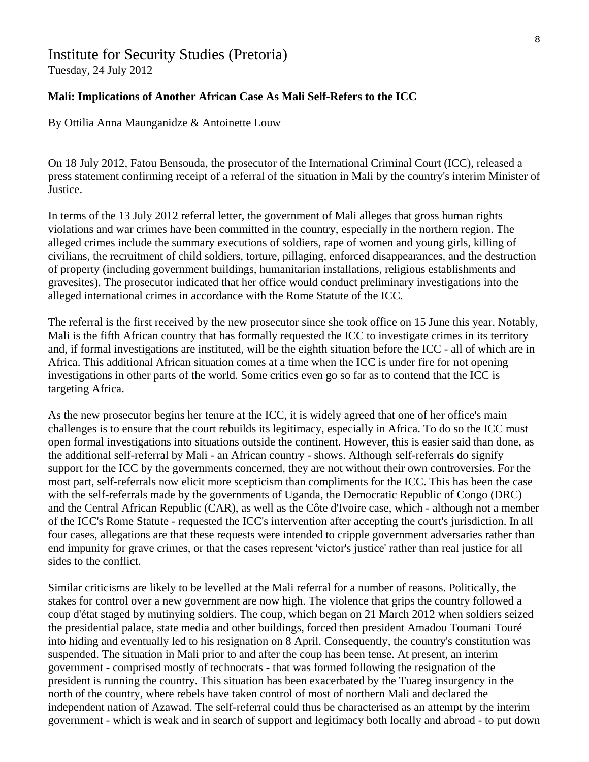## Institute for Security Studies (Pretoria)

Tuesday, 24 July 2012

### **Mali: Implications of Another African Case As Mali Self-Refers to the ICC**

By Ottilia Anna Maunganidze & Antoinette Louw

On 18 July 2012, Fatou Bensouda, the prosecutor of the International Criminal Court (ICC), released a press statement confirming receipt of a referral of the situation in Mali by the country's interim Minister of Justice.

In terms of the 13 July 2012 referral letter, the government of Mali alleges that gross human rights violations and war crimes have been committed in the country, especially in the northern region. The alleged crimes include the summary executions of soldiers, rape of women and young girls, killing of civilians, the recruitment of child soldiers, torture, pillaging, enforced disappearances, and the destruction of property (including government buildings, humanitarian installations, religious establishments and gravesites). The prosecutor indicated that her office would conduct preliminary investigations into the alleged international crimes in accordance with the Rome Statute of the ICC.

The referral is the first received by the new prosecutor since she took office on 15 June this year. Notably, Mali is the fifth African country that has formally requested the ICC to investigate crimes in its territory and, if formal investigations are instituted, will be the eighth situation before the ICC - all of which are in Africa. This additional African situation comes at a time when the ICC is under fire for not opening investigations in other parts of the world. Some critics even go so far as to contend that the ICC is targeting Africa.

As the new prosecutor begins her tenure at the ICC, it is widely agreed that one of her office's main challenges is to ensure that the court rebuilds its legitimacy, especially in Africa. To do so the ICC must open formal investigations into situations outside the continent. However, this is easier said than done, as the additional self-referral by Mali - an African country - shows. Although self-referrals do signify support for the ICC by the governments concerned, they are not without their own controversies. For the most part, self-referrals now elicit more scepticism than compliments for the ICC. This has been the case with the self-referrals made by the governments of Uganda, the Democratic Republic of Congo (DRC) and the Central African Republic (CAR), as well as the Côte d'Ivoire case, which - although not a member of the ICC's Rome Statute - requested the ICC's intervention after accepting the court's jurisdiction. In all four cases, allegations are that these requests were intended to cripple government adversaries rather than end impunity for grave crimes, or that the cases represent 'victor's justice' rather than real justice for all sides to the conflict.

Similar criticisms are likely to be levelled at the Mali referral for a number of reasons. Politically, the stakes for control over a new government are now high. The violence that grips the country followed a coup d'état staged by mutinying soldiers. The coup, which began on 21 March 2012 when soldiers seized the presidential palace, state media and other buildings, forced then president Amadou Toumani Touré into hiding and eventually led to his resignation on 8 April. Consequently, the country's constitution was suspended. The situation in Mali prior to and after the coup has been tense. At present, an interim government - comprised mostly of technocrats - that was formed following the resignation of the president is running the country. This situation has been exacerbated by the Tuareg insurgency in the north of the country, where rebels have taken control of most of northern Mali and declared the independent nation of Azawad. The self-referral could thus be characterised as an attempt by the interim government - which is weak and in search of support and legitimacy both locally and abroad - to put down